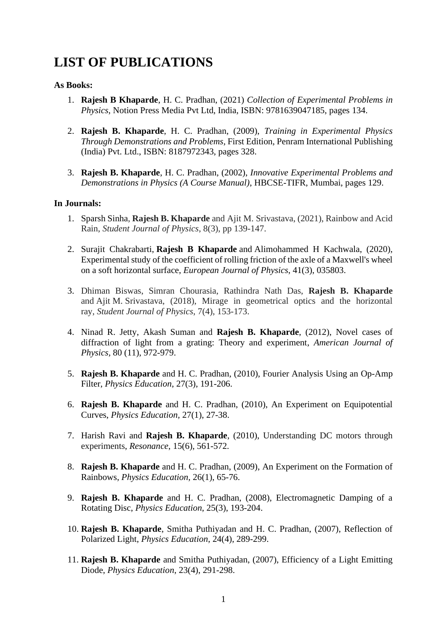# **LIST OF PUBLICATIONS**

# **As Books:**

- 1. **Rajesh B Khaparde**, H. C. Pradhan, (2021) *Collection of Experimental Problems in Physics*, Notion Press Media Pvt Ltd, India, ISBN: 9781639047185, pages 134.
- 2. **Rajesh B. Khaparde**, H. C. Pradhan, (2009), *Training in Experimental Physics Through Demonstrations and Problems,* First Edition, Penram International Publishing (India) Pvt. Ltd., ISBN: 8187972343, pages 328.
- 3. **Rajesh B. Khaparde**, H. C. Pradhan, (2002), *Innovative Experimental Problems and Demonstrations in Physics (A Course Manual)*, HBCSE-TIFR, Mumbai, pages 129.

# **In Journals:**

- 1. Sparsh Sinha, **Rajesh B. Khaparde** and Ajit M. Srivastava, (2021), Rainbow and Acid Rain, *Student Journal of Physics*, 8(3), pp 139-147.
- 2. Surajit Chakrabarti, **Rajesh B Khaparde** and Alimohammed H Kachwala, (2020), Experimental study of the coefficient of rolling friction of the axle of a Maxwell's wheel on a soft horizontal surface, *European Journal of Physics*, 41(3), 035803.
- 3. Dhiman Biswas, Simran Chourasia, Rathindra Nath Das, **Rajesh B. Khaparde**  and Ajit M. Srivastava, (2018), Mirage in geometrical optics and the horizontal ray, *Student Journal of Physics*, 7(4), 153-173.
- 4. Ninad R. Jetty, Akash Suman and **Rajesh B. Khaparde**, (2012), [Novel cases of](http://link.aip.org/link/ajpias/v80/i11/p972/s1)  [diffraction of light from a grating: Theory and experiment,](http://link.aip.org/link/ajpias/v80/i11/p972/s1) *American Journal of Physics,* 80 (11), 972-979.
- 5. **Rajesh B. Khaparde** and H. C. Pradhan, (2010), Fourier Analysis Using an Op-Amp Filter, *Physics Education*, 27(3), 191-206.
- 6. **Rajesh B. Khaparde** and H. C. Pradhan, (2010), An Experiment on Equipotential Curves, *Physics Education,* 27(1), 27-38.
- 7. Harish Ravi and **Rajesh B. Khaparde**, (2010), Understanding DC motors through experiments, *Resonance*, 15(6), 561-572.
- 8. **Rajesh B. Khaparde** and H. C. Pradhan, (2009), An Experiment on the Formation of Rainbows, *Physics Education,* 26(1), 65-76.
- 9. **Rajesh B. Khaparde** and H. C. Pradhan, (2008), Electromagnetic Damping of a Rotating Disc, *Physics Education*, 25(3), 193-204.
- 10. **Rajesh B. Khaparde**, Smitha Puthiyadan and H. C. Pradhan, (2007), Reflection of Polarized Light, *Physics Education*, 24(4), 289-299.
- 11. **Rajesh B. Khaparde** and Smitha Puthiyadan, (2007), Efficiency of a Light Emitting Diode, *Physics Education*, 23(4), 291-298.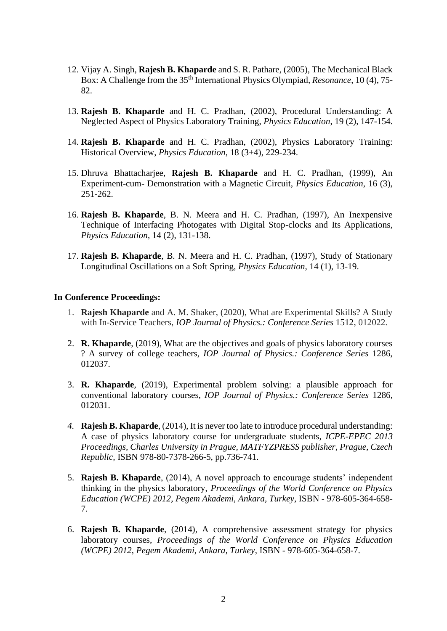- 12. Vijay A. Singh, **Rajesh B. Khaparde** and S. R. Pathare, (2005), The Mechanical Black Box: A Challenge from the 35th International Physics Olympiad, *Resonance*, 10 (4), 75- 82.
- 13. **Rajesh B. Khaparde** and H. C. Pradhan, (2002), Procedural Understanding: A Neglected Aspect of Physics Laboratory Training, *Physics Education*, 19 (2), 147-154.
- 14. **Rajesh B. Khaparde** and H. C. Pradhan, (2002), Physics Laboratory Training: Historical Overview, *Physics Education*, 18 (3+4), 229-234.
- 15. Dhruva Bhattacharjee, **Rajesh B. Khaparde** and H. C. Pradhan, (1999), An Experiment-cum- Demonstration with a Magnetic Circuit, *Physics Education*, 16 (3), 251-262.
- 16. **Rajesh B. Khaparde**, B. N. Meera and H. C. Pradhan, (1997), An Inexpensive Technique of Interfacing Photogates with Digital Stop-clocks and Its Applications, *Physics Education*, 14 (2), 131-138.
- 17. **Rajesh B. Khaparde**, B. N. Meera and H. C. Pradhan, (1997), Study of Stationary Longitudinal Oscillations on a Soft Spring, *Physics Education*, 14 (1), 13-19.

#### **In Conference Proceedings:**

- 1. **Rajesh Khaparde** and A. M. Shaker, (2020), What are Experimental Skills? A Study with In-Service Teachers, *IOP Journal of Physics.: Conference Series* 1512, 012022.
- 2. **R. Khaparde**, (2019), What are the objectives and goals of physics laboratory courses ? A survey of college teachers, *IOP Journal of Physics.: Conference Series* 1286, 012037.
- 3. **R. Khaparde**, (2019), Experimental problem solving: a plausible approach for conventional laboratory courses, *IOP Journal of Physics.: Conference Series* 1286, 012031.
- *4.* **Rajesh B. Khaparde**, (2014), It is never too late to introduce procedural understanding: A case of physics laboratory course for undergraduate students, *ICPE-EPEC 2013 Proceedings, Charles University in Prague, MATFYZPRESS publisher, Prague, Czech Republic,* ISBN 978-80-7378-266-5*,* pp.736-741.
- 5. **Rajesh B. Khaparde**, (2014), A novel approach to encourage students' independent thinking in the physics laboratory, *Proceedings of the World Conference on Physics Education (WCPE) 2012*, *Pegem Akademi, Ankara, Turkey*, ISBN - 978-605-364-658- 7.
- 6. **Rajesh B. Khaparde**, (2014), A comprehensive assessment strategy for physics laboratory courses, *Proceedings of the World Conference on Physics Education (WCPE) 2012*, *Pegem Akademi, Ankara, Turkey*, ISBN - 978-605-364-658-7.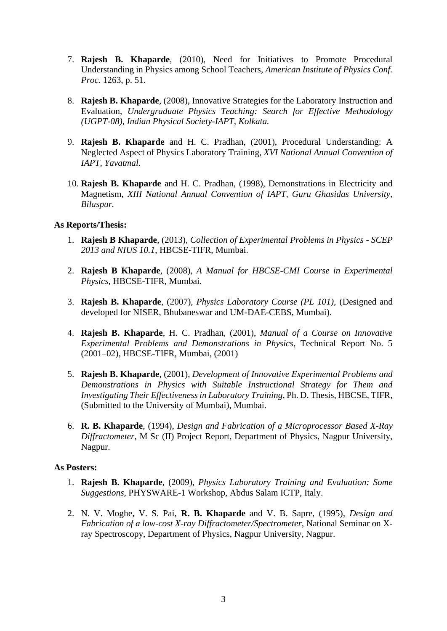- 7. **Rajesh B. Khaparde**, (2010), Need for Initiatives to Promote Procedural Understanding in Physics among School Teachers, *American Institute of Physics Conf. Proc.* 1263, p. 51.
- 8. **Rajesh B. Khaparde**, (2008), Innovative Strategies for the Laboratory Instruction and Evaluation, *Undergraduate Physics Teaching: Search for Effective Methodology (UGPT-08), Indian Physical Society-IAPT, Kolkata.*
- 9. **Rajesh B. Khaparde** and H. C. Pradhan, (2001), Procedural Understanding: A Neglected Aspect of Physics Laboratory Training, *XVI National Annual Convention of IAPT, Yavatmal.*
- 10. **Rajesh B. Khaparde** and H. C. Pradhan, (1998), Demonstrations in Electricity and Magnetism, *XIII National Annual Convention of IAPT, Guru Ghasidas University, Bilaspur.*

### **As Reports/Thesis:**

- 1. **Rajesh B Khaparde**, (2013), *Collection of Experimental Problems in Physics - SCEP 2013 and NIUS 10.1*, HBCSE-TIFR, Mumbai.
- 2. **Rajesh B Khaparde**, (2008), *A Manual for HBCSE-CMI Course in Experimental Physics*, HBCSE-TIFR, Mumbai.
- 3. **Rajesh B. Khaparde**, (2007), *Physics Laboratory Course (PL 101),* (Designed and developed for NISER, Bhubaneswar and UM-DAE-CEBS, Mumbai).
- 4. **Rajesh B. Khaparde**, H. C. Pradhan, (2001), *Manual of a Course on Innovative Experimental Problems and Demonstrations in Physics*, Technical Report No. 5 (2001–02), HBCSE-TIFR, Mumbai, (2001)
- 5. **Rajesh B. Khaparde**, (2001), *Development of Innovative Experimental Problems and Demonstrations in Physics with Suitable Instructional Strategy for Them and Investigating Their Effectiveness in Laboratory Training*, Ph. D. Thesis, HBCSE, TIFR, (Submitted to the University of Mumbai), Mumbai.
- 6. **R. B. Khaparde**, (1994), *Design and Fabrication of a Microprocessor Based X-Ray Diffractometer*, M Sc (II) Project Report, Department of Physics, Nagpur University, Nagpur.

### **As Posters:**

- 1. **Rajesh B. Khaparde**, (2009), *Physics Laboratory Training and Evaluation: Some Suggestions*, PHYSWARE-1 Workshop, Abdus Salam ICTP, Italy.
- 2. N. V. Moghe, V. S. Pai, **R. B. Khaparde** and V. B. Sapre, (1995), *Design and Fabrication of a low-cost X-ray Diffractometer/Spectrometer*, National Seminar on Xray Spectroscopy, Department of Physics, Nagpur University, Nagpur.